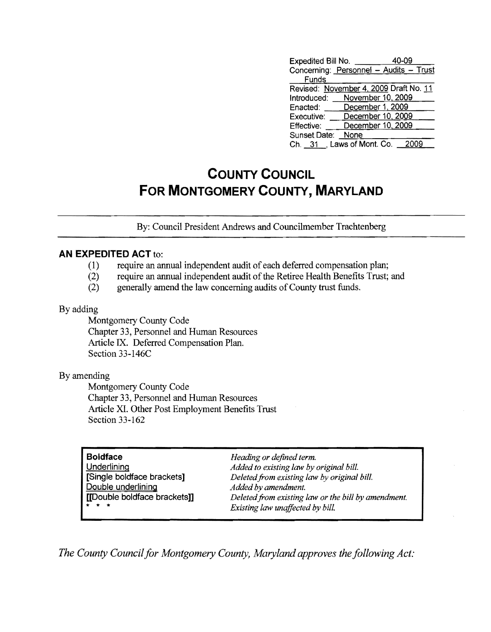| Expedited Bill No.                     |                  | 40-09             |  |
|----------------------------------------|------------------|-------------------|--|
| Concerning: Personnel - Audits - Trust |                  |                   |  |
| Funds                                  |                  |                   |  |
| Revised: November 4, 2009 Draft No. 11 |                  |                   |  |
| Introduced:                            |                  | November 10, 2009 |  |
| Enacted:                               | December 1, 2009 |                   |  |
| Executive:                             |                  | December 10, 2009 |  |
| Effective:                             |                  | December 10, 2009 |  |
| Sunset Date:                           | None             |                   |  |
| Ch. 31 J. Laws of Mont. Co.            |                  | 2009              |  |

# **COUNTY COUNCIL FOR MONTGOMERY COUNTY, MARYLAND**

By: Council President Andrews and Councilmember Trachtenberg

### **AN EXPEDITED ACT** to:

- (1) require an annual independent audit of each deferred compensation plan;
- (2) require an annual independent audit of the Retiree Health Benefits Trust; and
- (2) generally amend the law concerning audits of County trust funds.

### By adding

Montgomery County Code Chapter 33, Personnel and Human Resources Article IX. Deferred Compensation Plan. Section 33-146C

### By amending

Montgomery County Code Chapter 33, Personnel and Human Resources Article XL Other Post Employment Benefits Trust Section 33-162

| <b>Boldface</b><br>Underlining<br>[Single boldface brackets]<br>Double underlining<br>[[Double boldface brackets]]<br>$\star$ $\star$ $\star$ | Heading or defined term.<br>Added to existing law by original bill.<br>Deleted from existing law by original bill.<br>Added by amendment.<br>Deleted from existing law or the bill by amendment. |
|-----------------------------------------------------------------------------------------------------------------------------------------------|--------------------------------------------------------------------------------------------------------------------------------------------------------------------------------------------------|
|                                                                                                                                               | Existing law unaffected by bill.                                                                                                                                                                 |

The County Council for Montgomery County, Maryland approves the following Act: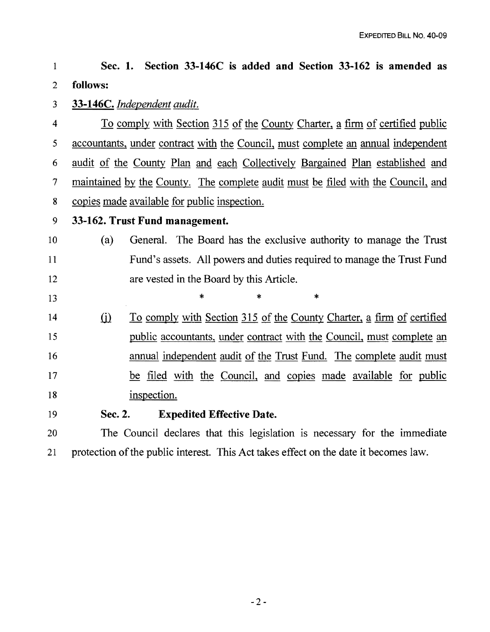#### 1 2 Sec. 1. Section 33-146C is added and Section 33-162 is amended as follows:

#### 3 33-146C. *Independent audit.*

4 5 6 7 8 To comply with Section 315 of the County Charter, a firm of certified public accountants, under contract with the Council, must complete an annual independent audit of the County Plan and each Collectively Bargained Plan established and maintained by the County. The complete audit must be filed with the Council, and copies made available for public inspection.

9

13

## 33-162. Trust Fund management.

#### 10 11 12 (a) General. The Board has the exclusive authority to manage the Trust Fund's assets. All powers and duties required to manage the Trust Fund are vested in the Board by this Article.

\* \* \*

14 15 16 17 18  $(i)$  To comply with Section 315 of the County Charter, a firm of certified public accountants, under contract with the Council, must complete an annual independent audit of the Trust Fund. The complete audit must be filed with the Council, and copies made available for public inspection.

19 Sec. 2. Expedited Effective Date.

20 21 The Council declares that this legislation is necessary for the immediate protection of the public interest. This Act takes effect on the date it becomes law.